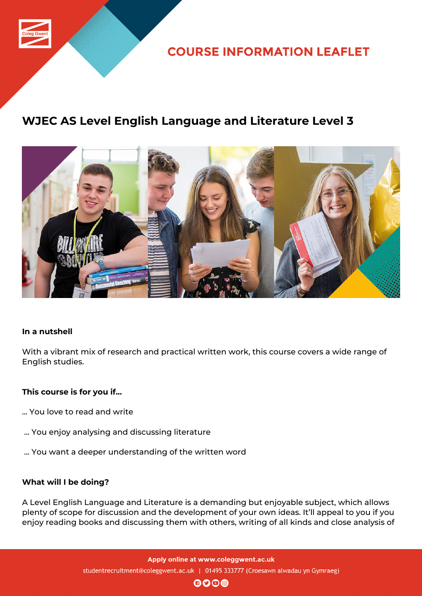

**COURSE INFORMATION LEAFLET** 

# **WJEC AS Level English Language and Literature Level 3**



## **In a nutshell**

With a vibrant mix of research and practical written work, this course covers a wide range of English studies.

## **This course is for you if...**

- ... You love to read and write
- ... You enjoy analysing and discussing literature
- ... You want a deeper understanding of the written word

#### **What will I be doing?**

A Level English Language and Literature is a demanding but enjoyable subject, which allows plenty of scope for discussion and the development of your own ideas. It'll appeal to you if you enjoy reading books and discussing them with others, writing of all kinds and close analysis of

> Apply online at www.coleggwent.ac.uk studentrecruitment@coleggwent.ac.uk | 01495 333777 (Croesawn alwadau yn Gymraeg)

> > $\mathbf{0}$  $\mathbf{0}$  $\mathbf{0}$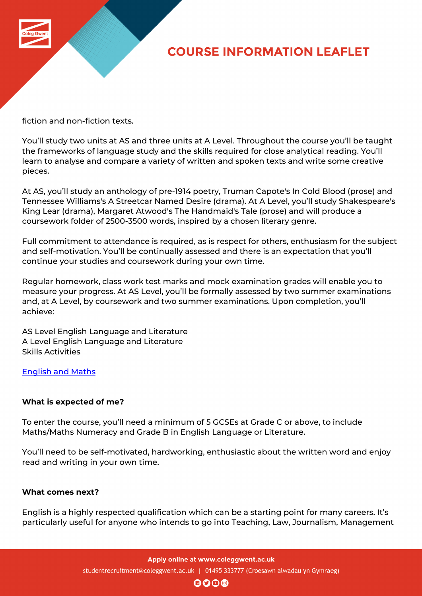

# **COURSE INFORMATION LEAFLET**

fiction and non-fiction texts.

You'll study two units at AS and three units at A Level. Throughout the course you'll be taught the frameworks of language study and the skills required for close analytical reading. You'll learn to analyse and compare a variety of written and spoken texts and write some creative pieces.

At AS, you'll study an anthology of pre-1914 poetry, Truman Capote's In Cold Blood (prose) and Tennessee Williams's A Streetcar Named Desire (drama). At A Level, you'll study Shakespeare's King Lear (drama), Margaret Atwood's The Handmaid's Tale (prose) and will produce a coursework folder of 2500-3500 words, inspired by a chosen literary genre.

Full commitment to attendance is required, as is respect for others, enthusiasm for the subject and self-motivation. You'll be continually assessed and there is an expectation that you'll continue your studies and coursework during your own time.

Regular homework, class work test marks and mock examination grades will enable you to measure your progress. At AS Level, you'll be formally assessed by two summer examinations and, at A Level, by coursework and two summer examinations. Upon completion, you'll achieve:

AS Level English Language and Literature A Level English Language and Literature Skills Activities

English and Maths

## **[What is expected](http://www.coleggwent.ac.uk/index.php?option=com_content&view=article&id=2314) of me?**

To enter the course, you'll need a minimum of 5 GCSEs at Grade C or above, to include Maths/Maths Numeracy and Grade B in English Language or Literature.

You'll need to be self-motivated, hardworking, enthusiastic about the written word and enjoy read and writing in your own time.

## **What comes next?**

English is a highly respected qualification which can be a starting point for many careers. It's particularly useful for anyone who intends to go into Teaching, Law, Journalism, Management

Apply online at www.coleggwent.ac.uk

studentrecruitment@coleggwent.ac.uk | 01495 333777 (Croesawn alwadau yn Gymraeg)

 $\mathbf{0}$  $\mathbf{0}$  $\mathbf{0}$